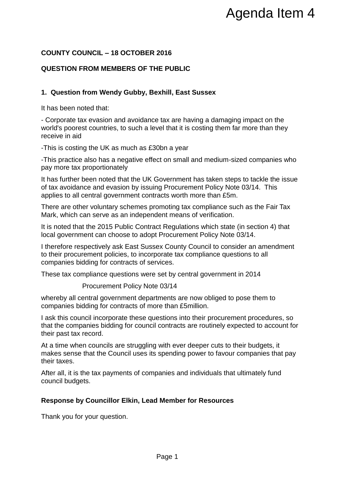## **COUNTY COUNCIL – 18 OCTOBER 2016**

# **QUESTION FROM MEMBERS OF THE PUBLIC**

### **1. Question from Wendy Gubby, Bexhill, East Sussex**

It has been noted that:

- Corporate tax evasion and avoidance tax are having a damaging impact on the world's poorest countries, to such a level that it is costing them far more than they receive in aid

-This is costing the UK as much as £30bn a year

-This practice also has a negative effect on small and medium-sized companies who pay more tax proportionately

It has further been noted that the UK Government has taken steps to tackle the issue of tax avoidance and evasion by issuing Procurement Policy Note 03/14. This applies to all central government contracts worth more than £5m. Agenda Item 4<br>
E PUBLIC<br>
E PUBLIC<br>
E PUBLIC<br>
Examples a start of the start of the start of the start and the<br>
that it is costing them far more than they<br>
obey a start of small and medium-sized companies who<br>
absorpense tha

There are other voluntary schemes promoting tax compliance such as the Fair Tax Mark, which can serve as an independent means of verification.

It is noted that the 2015 Public Contract Regulations which state (in section 4) that local government can choose to adopt Procurement Policy Note 03/14.

I therefore respectively ask East Sussex County Council to consider an amendment to their procurement policies, to incorporate tax compliance questions to all companies bidding for contracts of services.

These tax compliance questions were set by central government in 2014

Procurement Policy Note 03/14

whereby all central government departments are now obliged to pose them to companies bidding for contracts of more than £5million.

I ask this council incorporate these questions into their procurement procedures, so that the companies bidding for council contracts are routinely expected to account for their past tax record.

At a time when councils are struggling with ever deeper cuts to their budgets, it makes sense that the Council uses its spending power to favour companies that pay their taxes.

After all, it is the tax payments of companies and individuals that ultimately fund council budgets.

#### **Response by Councillor Elkin, Lead Member for Resources**

Thank you for your question.